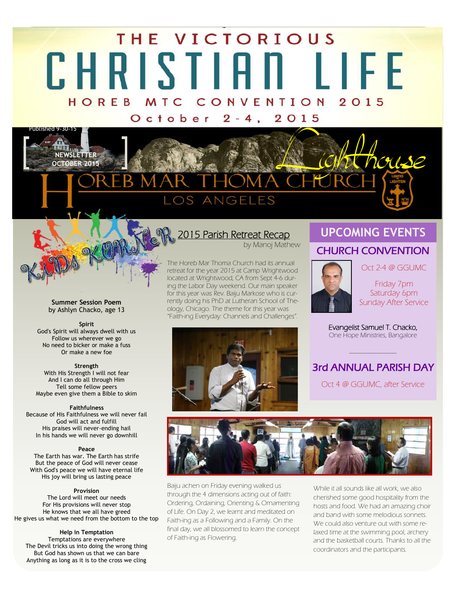# THE VICTORIOUS CHRISTIAN LIFE HOREB MTC CONVENTION 2015

October 2-4, 2015



#### **Summer Session Poem**  by Ashlyn Chacko, age 13

#### **Spirit**

God's Spirit will always dwell with us Follow us wherever we go No need to bicker or make a fuss Or make a new foe

#### **Strength**

With His Strength I will not fear And I can do all through Him Tell some fellow peers Maybe even give them a Bible to skim

#### **Faithfulness**

Because of His Faithfulness we will never fail God will act and fulfill His praises will never-ending hail In his hands we will never go downhill

#### **Peace**

The Earth has war. The Earth has strife But the peace of God will never cease With God's peace we will have eternal life His joy will bring us lasting peace

#### **Provision**

The Lord will meet our needs For His provisions will never stop He knows that we all have greed He gives us what we need from the bottom to the top

**Help in Temptation** Temptations are everywhere The Devil tricks us into doing the wrong thing But God has shown us that we can bare Anything as long as it is to the cross we cling

## 2015 Parish Retreat Recap

by Manoj Mathew

The Horeb Mar Thoma Church had its annual retreat for the year 2015 at Camp Wrightwood located at Wrightwood, CA from Sept 4-6 during the Labor Day weekend. Our main speaker for this year was Rev. Baiju Markose who is currently doing his PhD at Lutheran School of Theology, Chicago. The theme for this year was "Faith-ing Everyday: Channels and Challenges".

## CHURCH CONVENTION **UPCOMING EVENTS**

Oct 2-4 @ GGUMC



### Friday 7pm Saturday 6pm Sunday After Service

Evangelist Samuel T. Chacko, One Hope Ministries, Bangalore

3rd ANNUAL PARISH DAY

\_\_\_\_\_\_\_\_\_\_\_\_\_\_

Oct 4 @ GGUMC, after Service





Baiju achen on Friday evening walked us through the 4 dimensions acting out of faith: Ordering, Ordaining, Orienting & Ornamenting of Life. On Day 2, we learnt and meditated on Faith-ing as a Following and a Family. On the final day, we all blossomed to learn the concept of Faith-ing as Flowering.

While it all sounds like all work, we also cherished some good hospitality from the hosts and food. We had an amazing choir and band with some melodious sonnets. We could also venture out with some relaxed time at the swimming pool, archery and the basketball courts. Thanks to all the coordinators and the participants.